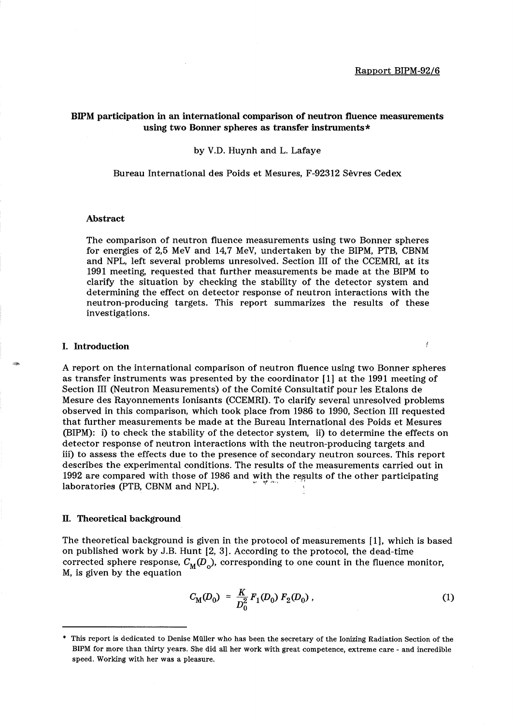Ĭ

# BIPM participation in an international comparison of neutron fluence measurements using two Bonner spheres as transfer instruments \*

by V.D. Huynh and L. Lafaye

Bureau International des Poids et Mesures, F-92312 Sevres Cedex

#### Abstract

The comparison of neutron fluence measurements using two Bonner spheres for energies of 2,5 MeV and 14,7 MeV, undertaken by the BIPM, PTB, CBNM and NPL, left several problems unresolved. Section III of the CCEMRI, at its 1991 meeting, requested that further measurements be made at the BIPM to clarify the situation by checking the stability of the detector system and determining the effect on detector response of neutron interactions with the neutron-producing targets. This report summarizes the results of these investigations.

#### I. Introduction

A report on the international comparison of neutron fluence using two Bonner spheres as transfer instruments was presented by the coordinator [1] at the 1991 meeting of Section III (Neutron Measurements) of the Comite Consultatif pour les Etalons de Mesure des Rayonnements Ionisants (CCEMRI). To clarify several unresolved problems observed in this comparison, which took place from 1986 to 1990, Section III requested that further measurements be made at the Bureau International des Poids et Mesures (BIPM): i) to check the stability of the detector system, ii) to determine the effects on detector response of neutron interactions with the neutron-producing targets and iii) to assess the effects due to the presence of secondary neutron sources. This report describes the experimental conditions. The results of the measurements carried out in 1992 are compared with those of 1986 and with the results of the other participating laboratories (PTB, CBNM and NPL).

# ll. Theoretical background

The theoretical background is given in the protocol of measurements [1], which is based on published work by J.B. Hunt [2, 3J. According to the protocol, the dead-time corrected sphere response,  $C_M(D_0)$ , corresponding to one count in the fluence monitor, M, is given by the equation

$$
C_{\rm M}(D_0) = \frac{K}{D_0^2} F_1(D_0) F_2(D_0) \tag{1}
$$

<sup>•</sup> This report is dedicated to Denise Muller who has been the secretary of the Ionizing Radiation Section of the BIPM for more than thirty years. She did all her work with great competence, extreme care - and incredible speed. Working with her was a pleasure.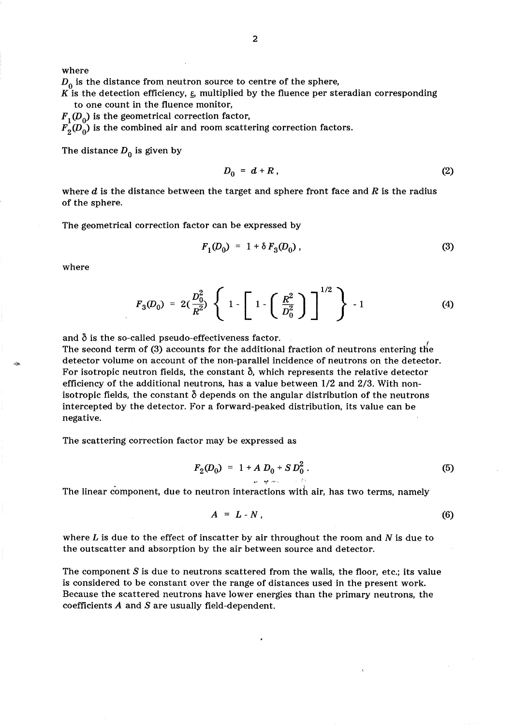where

 $D_0$  is the distance from neutron source to centre of the sphere,

K is the detection efficiency,  $\varepsilon$ , multiplied by the fluence per steradian corresponding to one count in the fluence monitor,

 $F_1(D_0)$  is the geometrical correction factor,

 $F<sub>2</sub>(D<sub>0</sub>)$  is the combined air and room scattering correction factors.

The distance  $D_0$  is given by

$$
D_0 = d + R \tag{2}
$$

where  $d$  is the distance between the target and sphere front face and  $R$  is the radius of the sphere.

The geometrical correction factor can be expressed by

$$
F_1(D_0) = 1 + \delta F_3(D_0) \tag{3}
$$

where

$$
F_3(D_0) = 2\left(\frac{D_0^2}{R^2}\right)\left\{1-\left[1-\left(\frac{R^2}{D_0^2}\right)\right]^{1/2}\right\} - 1 \tag{4}
$$

and  $\delta$  is the so-called pseudo-effectiveness factor.

The second term of (3) accounts for the additional fraction of neutrons entering the detector volume on account of the non-parallel incidence of neutrons on the detector. For isotropic neutron fields, the constant  $\delta$ , which represents the relative detector efficiency of the additional neutrons, has a value between 1/2 and 2/3. With nonisotropic fields, the constant  $\delta$  depends on the angular distribution of the neutrons intercepted by the detector. For a forward-peaked distribution, its value can be negative.

The scattering correction factor may be expressed as

$$
F_2(D_0) = 1 + A D_0 + S D_0^2.
$$
 (5)

The linear component, due to neutron interactions with air, has two terms, namely

$$
A = L - N, \tag{6}
$$

where  $L$  is due to the effect of inscatter by air throughout the room and  $N$  is due to the outscatter and absorption by the air between source and detector.

The component *S* is due to neutrons scattered from the walls, the floor, etc.; its value is considered to be constant over the range of distances used in the present work. Because the scattered neutrons have lower energies than the primary neutrons, the coefficients *A* and *S* are usually field-dependent.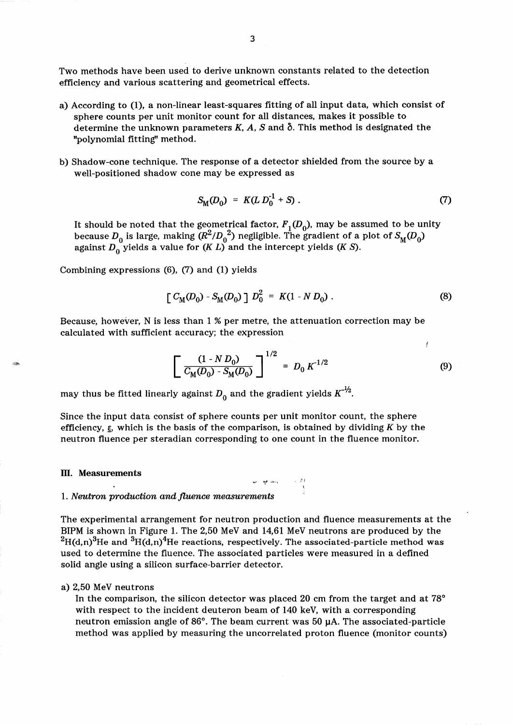Two methods have been used to derive unknown constants related to the detection efficiency and various scattering and geometrical effects.

- a) According to (1), a non-linear least-squares fitting of all input data, which consist of sphere counts per unit monitor count for all distances, makes it possible to determine the unknown parameters K, A, S and  $\delta$ . This method is designated the "polynomial fitting" method.
- b) Shadow-cone technique. The response of a detector shielded from the source by a well-positioned shadow cone may be expressed as

$$
S_{\rm M}(D_0) = K(L D_0^{-1} + S) \tag{7}
$$

It should be noted that the geometrical factor,  $F_1(D_0)$ , may be assumed to be unity because  $D_0$  is large, making  $(R^2/D_0^2)$  negligible. The gradient of a plot of  $S_M(D_0)$ against  $D_0$  yields a value for *(K L)* and the intercept yields *(K S)*.

Combining expressions (6), (7) and (1) yields

$$
\left[ C_{\rm M}(D_0) - S_{\rm M}(D_0) \right] D_0^2 = K(1 - N D_0) \ . \tag{8}
$$

Because, however, N is less than 1 % per metre, the attenuation correction may be calculated with sufficient accuracy; the expression

$$
\left[\frac{(1-N D_0)}{C_M(D_0) - S_M(D_0)}\right]^{1/2} = D_0 K^{-1/2}
$$
 (9)

 $\mathcal{L}=\frac{1}{2}$ 

may thus be fitted linearly against  $D_0$  and the gradient yields  $K^{-1/2}$ .

Since the input data consist of sphere counts per unit monitor count, the sphere efficiency,  $\varepsilon$ , which is the basis of the comparison, is obtained by dividing K by the neutron fluence per steradian corresponding to one count in the fluence monitor.

# **m.** Measurements  $\mathbf{r} \sim \mathbf{r}$ .

#### 1. Neutron production and fluence measurements

The experimental arrangement for neutron production and fluence measurements at the BIPM is shown in Figure 1. The 2,50 MeV and 14,61 MeV neutrons are produced by the  $^{2}$ H(d,n)<sup>3</sup>He and <sup>3</sup>H(d,n)<sup>4</sup>He reactions, respectively. The associated-particle method was used to determine the fluence. The associated particles were measured in a defined solid angle using a silicon surface-barrier detector.

#### a) 2,50 MeV neutrons

In the comparison, the silicon detector was placed 20 cm from the target and at 78° with respect to the incident deuteron beam of 140 keY, with a corresponding neutron emission angle of 86 $^{\circ}$ . The beam current was 50  $\mu$ A. The associated-particle method was applied by measuring the uncorrelated proton fluence (monitor counts)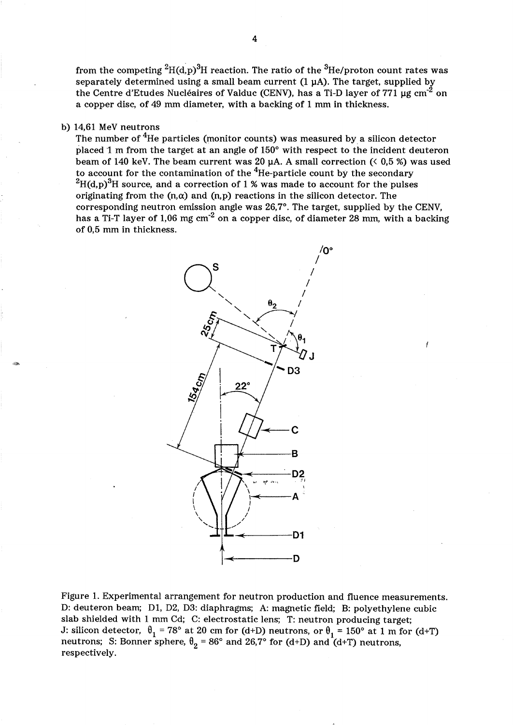from the competing <sup>2</sup>H(d,p)<sup>3</sup>H reaction. The ratio of the <sup>3</sup>He/proton count rates was separately determined using a small beam current  $(1 \mu A)$ . The target, supplied by the Centre d'Etudes Nucléaires of Valduc (CENV), has a Ti-D layer of 771  $\mu$ g cm<sup>-2</sup> on a copper disc, of 49 mm diameter, with a backing of 1 mm in thickness.

# b) 14,61 MeV neutrons

The number of <sup>4</sup>He particles (monitor counts) was measured by a silicon detector placed 1 m from the target at an angle of  $150^{\circ}$  with respect to the incident deuteron beam of 140 keV. The beam current was 20  $\mu$ A. A small correction (< 0,5 %) was used to account for the contamination of the  $4$ He-particle count by the secondary  $^{2}H(d,p)^{3}H$  source, and a correction of 1 % was made to account for the pulses originating from the  $(n, \alpha)$  and  $(n, p)$  reactions in the silicon detector. The corresponding neutron emission angle was 26,7°. The target, supplied by the CENV, has a Ti-T layer of 1,06 mg cm<sup>-2</sup> on a copper disc, of diameter 28 mm, with a backing of 0,5 mm in thickness.



Figure 1. Experimental arrangement for neutron production and fluence measurements. D: deuteron beam; Dl, D2, D3: diaphragms; A: magnetic field; B: polyethylene cubic slab shielded with 1 mm Cd; C: electrostatic lens; T: neutron producing target; J: silicon detector,  $\theta_1 = 78^\circ$  at 20 cm for (d+D) neutrons, or  $\theta_1 = 150^\circ$  at 1 m for (d+T) neutrons; S: Bonner sphere,  $\theta_2 = 86^\circ$  and  $26.7^\circ$  for (d+D) and (d+T) neutrons, respectively.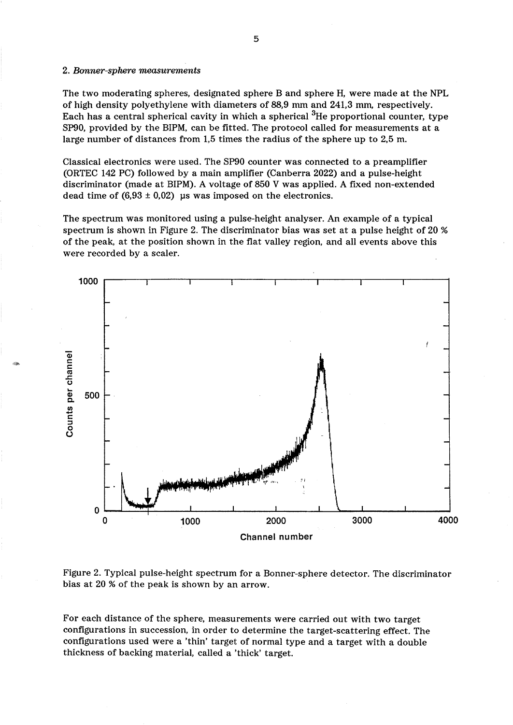#### *2. Bonner-sphere measurements*

 $^{\circ}$ 

The two moderating spheres, designated sphere B and sphere H, were made at the NPL of high density polyethylene with diameters of 88,9 mm and 241,3 mm, respectively. Each has a central spherical cavity in which a spherical 3He proportional counter, type SP90, provided by the BIPM, can be fitted. The protocol called for measurements at a large number of distances from 1,5 times the radius of the sphere up to 2,5 m.

Classical electronics were used. The SP90 counter was connected to a preamplifier (ORTEC 142 PC) followed by a main amplifier (Canberra 2022) and a pulse-height discriminator (made at BIPM). A voltage of 850 V was applied. A fixed non-extended dead time of  $(6.93 \pm 0.02)$  us was imposed on the electronics.

The spectrum was monitored using a pulse-height analyser. An example of a typical spectrum is shown in Figure 2. The discriminator bias was set at a pulse height of 20 % of the peak, at the position shown in the flat valley region, and all events above this were recorded by a scaler.



Figure 2. Typical pulse-height spectrum for a Bonner-sphere detector. The discriminator bias at 20 % of the peak is shown by an arrow.

For each distance of the sphere, measurements were carried out with two target configurations in succession, in order to determine the target-scattering effect. The configurations used were a 'thin' target of normal type and a target with a double thickness of backing material, called a 'thick' target.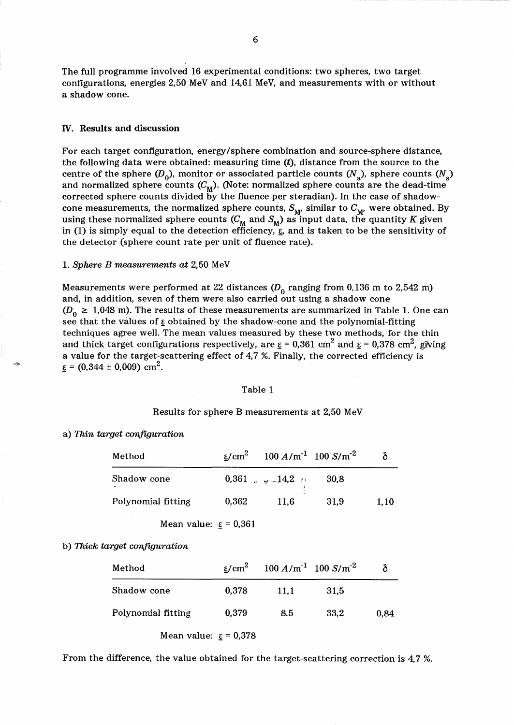The full programme involved 16 experimental conditions: two spheres, two target configurations, energies 2,50 MeV and 14,61 MeV, and measurements with or without a shadow cone.

#### IV. Results and discussion

For each target configuration, energy/sphere combination and source-sphere distance, the following data were obtained: measuring time  $(t)$ , distance from the source to the centre of the sphere  $(D_0)$ , monitor or associated particle counts  $(N_a)$ , sphere counts  $(N_a)$ and normalized sphere counts  $(C_M)$ . (Note: normalized sphere counts are the dead-time corrected sphere counts divided by the fluence per steradian). In the case of shadowcone measurements, the normalized sphere counts,  $S_{\mathbf{M}'}$  similar to  $C_{\mathbf{M}'}$  were obtained. By using these normalized sphere counts  $(C_M$  and  $S_M$ ) as input data, the quantity K given in (1) is simply equal to the detection efficiency,  $\mathbf{\hat{g}}$  and is taken to be the sensitivity of the detector (sphere count rate per unit of fluence rate).

#### 1. *Sphere B measurements at* 2,50 MeV

Measurements were performed at 22 distances  $(D_0$  ranging from 0,136 m to 2,542 m) and, in addition, seven of them were also carried out using a shadow cone  $(D_0 \geq 1.048 \text{ m})$ . The results of these measurements are summarized in Table 1. One can see that the values of  $\varepsilon$  obtained by the shadow-cone and the polynomial-fitting techniques agree well. The mean values measured by these two methods, for the thin and thick target configurations respectively, are  $\underline{\varepsilon} = 0.361$  cm<sup>2</sup> and  $\underline{\varepsilon} = 0.378$  cm<sup>2</sup>, giving a value for the target-scattering effect of 4,7 %. Finally, the corrected efficiency is  $\varepsilon$  = (0,344 ± 0,009) cm<sup>2</sup>.

#### Table 1

#### Results for sphere B measurements at 2,50 MeV

#### a) *Thin target configuration*

-~

| Method                    |       | $\frac{\varepsilon}{\sqrt{2}}$ 100 A/m <sup>-1</sup> 100 S/m <sup>-2</sup> |      |      |
|---------------------------|-------|----------------------------------------------------------------------------|------|------|
| Shadow cone               |       | $0,361$ w $\#$ $\sim$ 14,2 $\#$                                            | 30,8 |      |
| Polynomial fitting        | 0,362 | 11,6                                                                       | 31,9 | 1,10 |
| Mean value: $\xi = 0.361$ |       |                                                                            |      |      |

b) *Thick target configuration* 

| Method             |                                | $\epsilon/cm^2$ 100 A/m <sup>-1</sup> 100 S/m <sup>-2</sup> |      |      |
|--------------------|--------------------------------|-------------------------------------------------------------|------|------|
| Shadow cone        | 0,378                          | 11.1                                                        | 31.5 |      |
| Polynomial fitting | 0,379                          | 8.5                                                         | 33.2 | 0,84 |
|                    | Mean value: $\epsilon$ = 0,378 |                                                             |      |      |

From the difference, the value obtained for the target-scattering correction is 4,7 %.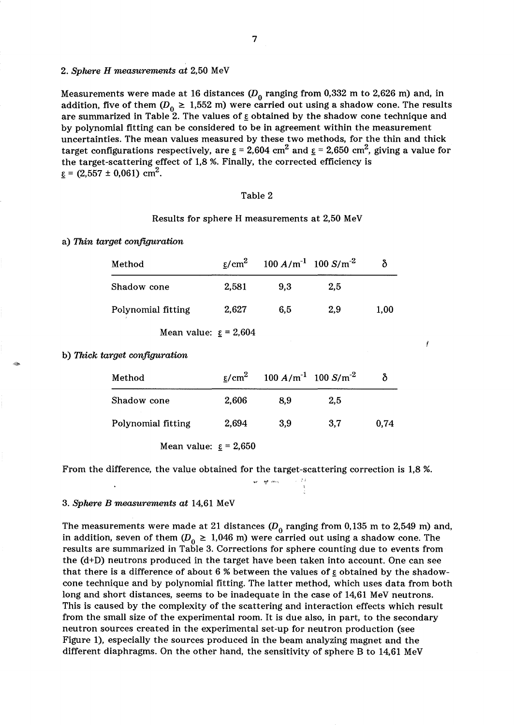# *2. Sphere H measurements at* 2,50 MeV

Measurements were made at 16 distances  $(D_0$  ranging from 0,332 m to 2,626 m) and, in addition, five of them ( $D_0 \geq 1,552$  m) were carried out using a shadow cone. The results are summarized in Table 2. The values of  $\varepsilon$  obtained by the shadow cone technique and by polynomial fitting can be considered to be in agreement within the measurement uncertainties. The mean values measured by these two methods, for the thin and thick target configurations respectively, are  $\underline{\epsilon} = 2{,}604$  cm<sup>2</sup> and  $\underline{\epsilon} = 2{,}650$  cm<sup>2</sup>, giving a value for the target-scattering effect of 1,8 %. Finally, the corrected efficiency is  $\varepsilon$  = (2,557 ± 0,061) cm<sup>2</sup>.

#### Table 2

#### Results for sphere H measurements at 2,50 MeV

#### a) *Thin target configuration*

| Method             | ε/cm <sup>2</sup> | $100 A/m^{-1}$ 100 S/m <sup>-2</sup> |     |      |
|--------------------|-------------------|--------------------------------------|-----|------|
| Shadow cone        | 2,581             | 9.3                                  | 2.5 |      |
| Polynomial fitting | 2,627             | 6.5                                  | 2,9 | 1,00 |

Mean value:  $\epsilon$  = 2,604

b) *Thick target configuration* 

~~

| Method             | $\varepsilon$ /cm <sup>2</sup> | $100 A/m^{-1}$ 100 S/m <sup>-2</sup> |     |      |
|--------------------|--------------------------------|--------------------------------------|-----|------|
| Shadow cone        | 2,606                          | 8.9                                  | 2.5 |      |
| Polynomial fitting | 2,694                          | 3.9                                  | 3,7 | 0.74 |
|                    |                                |                                      |     |      |

Mean value:  $\epsilon$  = 2,650

From the difference, the value obtained for the target-scattering correction is 1,8 %.

J.

#### *3. Sphere B measurements at* 14,61 MeV

The measurements were made at 21 distances  $(D_0$  ranging from 0,135 m to 2,549 m) and, in addition, seven of them  $(D_0 \geq 1.046 \text{ m})$  were carried out using a shadow cone. The results are summarized in Table 3. Corrections for sphere counting due to events from the (d+D) neutrons produced in the target have been taken into account. One can see that there is a difference of about 6 % between the values of  $\epsilon$  obtained by the shadowcone technique and by polynomial fitting. The latter method, which uses data from both long and short distances, seems to be inadequate in the case of 14,61 MeV neutrons. This is caused by the complexity of the scattering and interaction effects which result from the small size of the experimental room. It is due also, in part, to the secondary neutron sources created in the experimental set-up for neutron production (see Figure 1), especially the sources produced in the beam analyzing magnet and the different diaphragms. On the other hand, the sensitivity of sphere B to 14,61 MeV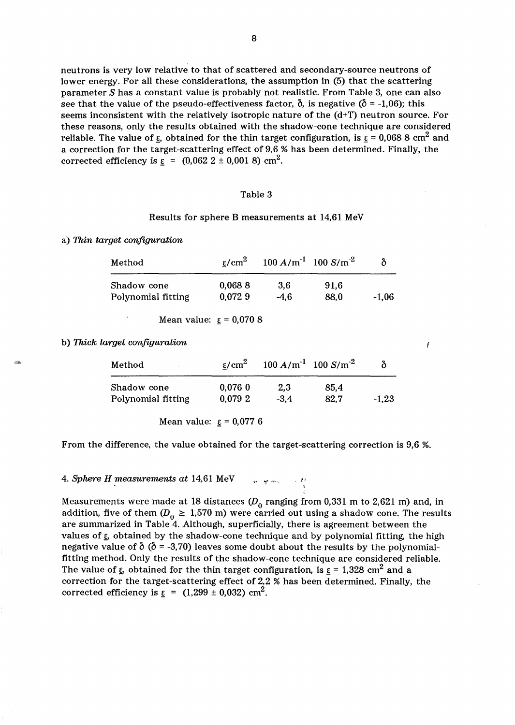neutrons is very low relative to that of scattered and secondary-source neutrons of lower energy. For all these considerations, the assumption in (5) that the scattering parameter *S* has a constant value is probably not realistic. From Table 3, one can also see that the value of the pseudo-effectiveness factor,  $\delta$ , is negative ( $\delta$  = -1,06); this seems inconsistent with the relatively isotropic nature of the (d+T) neutron source. For these reasons, only the results obtained with the shadow-cone technique are considered reliable. The value of  $\varepsilon$ , obtained for the thin target configuration, is  $\varepsilon = 0.068$  8 cm<sup>2</sup> and a correction for the target-scattering effect of 9,6 % has been determined. Finally, the corrected efficiency is  $\varepsilon = (0.062 \ 2 \pm 0.001 \ 8) \text{ cm}^2$ .

#### Table 3

#### Results for sphere B measurements at 14,61 MeV

a) *Thin target configuration* 

| Method             | ε/cm <sup>2</sup> | $100 A/m^{-1}$ 100 S/m <sup>-2</sup> |      | δ       |
|--------------------|-------------------|--------------------------------------|------|---------|
| Shadow cone        | 0,0688            | 3.6                                  | 91.6 |         |
| Polynomial fitting | 0.0729            | $-4.6$                               | 88.0 | $-1.06$ |

Mean value:  $\epsilon = 0.0708$ 

b) *Thick target configuration* 

"\*'

| ε/cm <sup>2</sup> |        |        | δ                                            |
|-------------------|--------|--------|----------------------------------------------|
| 0.0760            | 2.3    | 85,4   | $-1,23$                                      |
|                   | 0.0792 | $-3.4$ | $100 A/m^{-1}$ 100 S/m <sup>-2</sup><br>82,7 |

Mean value:  $\epsilon = 0.0776$ 

From the difference, the value obtained for the target-scattering correction is 9,6 %.

**4. Sphere H measurements at 14,61 MeV**  $\ldots$  ,  $\ldots$ 

Measurements were made at 18 distances  $(D_0$  ranging from 0,331 m to 2,621 m) and, in addition, five of them ( $D_0 \geq 1.570$  m) were carried out using a shadow cone. The results are summarized in Table 4. Although, superficially, there is agreement between the values of  $\varepsilon$ , obtained by the shadow-cone technique and by polynomial fitting, the high negative value of  $\delta$  ( $\delta$  = -3,70) leaves some doubt about the results by the polynomialfitting method. Only the results of the shadow-cone technique are considered reliable. The value of  $\varepsilon$ , obtained for the thin target configuration, is  $\varepsilon = 1,328$  cm<sup>2</sup> and a correction for the target-scattering effect of 2,2 % has been determined. Finally, the corrected efficiency is  $\epsilon = (1,299 \pm 0,032)$  cm<sup>2</sup>.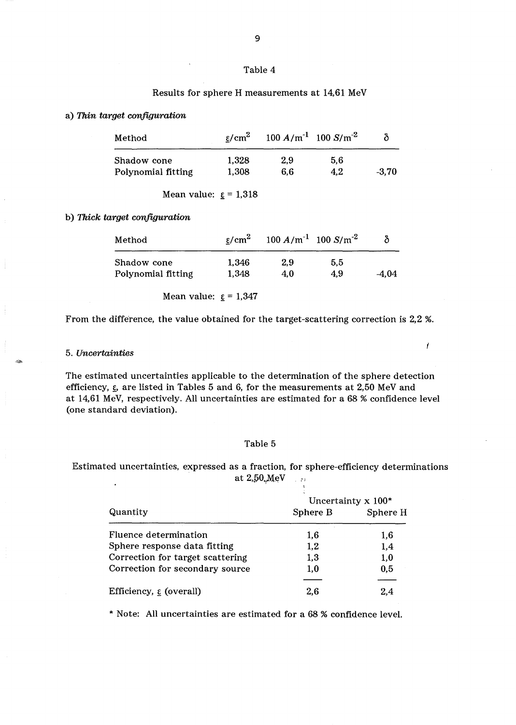#### Table 4

# Results for sphere H measurements at 14,61 MeV

#### a) *Thin target configuration*

| Method             | $\varepsilon$ /cm <sup>2</sup> | $100 A/m^{-1}$ 100 S/m <sup>-2</sup> |     |         |
|--------------------|--------------------------------|--------------------------------------|-----|---------|
| Shadow cone        | 1.328                          | 2.9                                  | 5.6 |         |
| Polynomial fitting | 1,308                          | 6.6                                  | 4.2 | $-3.70$ |

Mean value:  $\epsilon$  = 1,318

b) *Thick target configuration* 

| Method             | $\varepsilon$ /cm <sup>2</sup> | $100 A/m^{-1}$ 100 S/m <sup>-2</sup> |     | δ     |
|--------------------|--------------------------------|--------------------------------------|-----|-------|
| Shadow cone        | 1,346                          | 2.9                                  | 5.5 |       |
| Polynomial fitting | 1,348                          | 4.0                                  | 4.9 | -4.04 |

Mean value:  $\mathbf{g} = 1,347$ 

From the difference, the value obtained for the target-scattering correction is 2,2 %.

L

#### *5. Uncertainties*

The estimated uncertainties applicable to the determination of the sphere detection efficiency,  $\xi$ , are listed in Tables 5 and 6, for the measurements at 2,50 MeV and at 14,61 MeV, respectively. All uncertainties are estimated for a 68 % confidence level (one standard deviation).

# Table 5

Estimated uncertainties, expressed as a fraction, for sphere-efficiency determinations at  $2{,}50{,}MeV$  .:

|                                     |          | Uncertainty $x$ 100* |
|-------------------------------------|----------|----------------------|
| Quantity                            | Sphere B | Sphere H             |
| Fluence determination               | 1,6      | 1,6                  |
| Sphere response data fitting        | 1,2      | 1,4                  |
| Correction for target scattering    | 1,3      | 1,0                  |
| Correction for secondary source     | 1,0      | 0,5                  |
| Efficiency, $\varepsilon$ (overall) | 2.6      | 2.4                  |

\* Note: All uncertainties are estimated for a 68 % confidence level.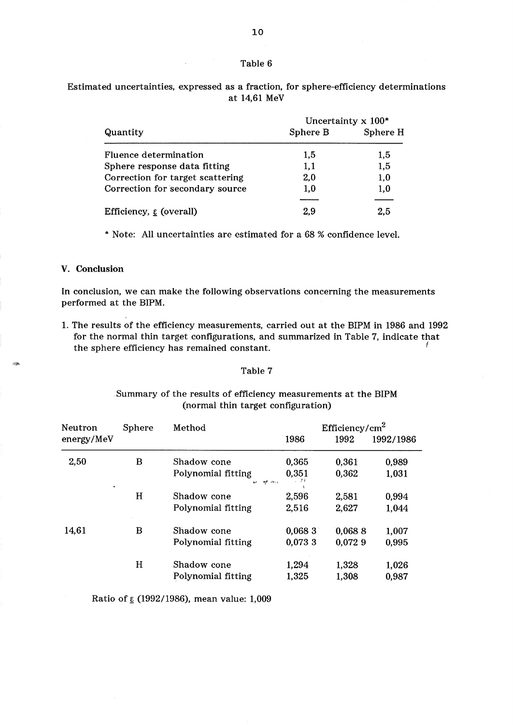#### Table 6

Estimated uncertainties, expressed as a fraction, for sphere-efficiency determinations at 14,61 MeV

|                                              |          | Uncertainty $x 100^*$ |  |
|----------------------------------------------|----------|-----------------------|--|
| Quantity                                     | Sphere B | Sphere H              |  |
| Fluence determination                        | 1.5      | 1,5                   |  |
| Sphere response data fitting                 | 1,1      | 1,5                   |  |
| Correction for target scattering             | 2,0      | 1,0                   |  |
| Correction for secondary source              | 1.0      | 1,0                   |  |
| Efficiency, $\underline{\epsilon}$ (overall) | 2,9      | 2,5                   |  |
|                                              |          |                       |  |

\* Note: All uncertainties are estimated for a 68 % confidence level.

#### v. Conclusion

**-**

In conclusion, we can make the following observations concerning the measurements performed at the BIPM.

1. The results of the efficiency measurements, carried out at the BIPM in 1986 and 1992 for the normal thin target configurations, and summarized in Table 7, indicate that the sphere efficiency has remained constant.

# Table 7

# Summary of the results of efficiency measurements at the BIPM (normal thin target configuration)

| Neutron    | <b>Sphere</b> | Method                                 |               | Efficiency/cm <sup>2</sup> |           |
|------------|---------------|----------------------------------------|---------------|----------------------------|-----------|
| energy/MeV |               |                                        | 1986          | 1992                       | 1992/1986 |
| 2,50       | B             | Shadow cone                            | 0,365         | 0,361                      | 0,989     |
| ٠          |               | Polynomial fitting<br><b>ALC: YESH</b> | 0,351<br>. 77 | 0,362                      | 1,031     |
|            | H             | Shadow cone                            | 2,596         | 2.581                      | 0,994     |
|            |               | Polynomial fitting                     | 2,516         | 2,627                      | 1,044     |
| 14,61      | в             | Shadow cone                            | 0,0683        | 0,0688                     | 1,007     |
|            |               | Polynomial fitting                     | 0,073 3       | 0,0729                     | 0,995     |
|            | н             | Shadow cone                            | 1,294         | 1,328                      | 1,026     |
|            |               | Polynomial fitting                     | 1,325         | 1,308                      | 0,987     |

Ratio of  $\epsilon$  (1992/1986), mean value: 1,009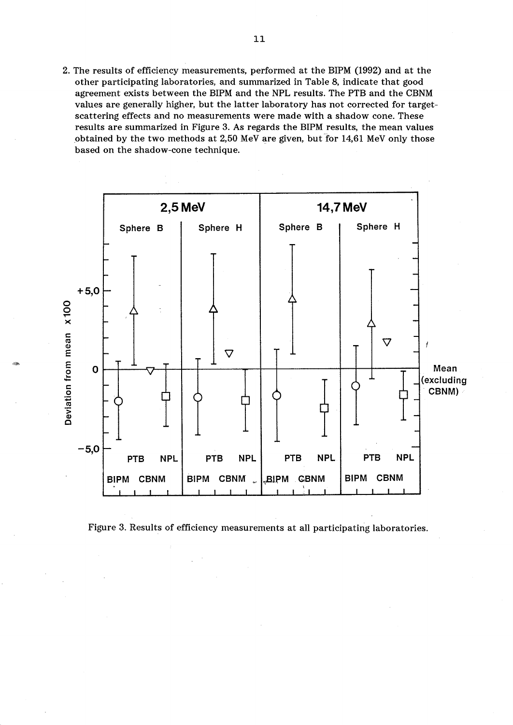2. The results of efficiency measurements, performed at the BIPM (1992) and at the other participating laboratories, and summarized in Table 8, indicate that good agreement exists between the BIPM and the NPL results. The PTB and the CBNM values are generally higher, but the latter laboratory has not corrected for targetscattering effects and no measurements were made with a shadow cone. These results are summarized in Figure 3. As regards the BIPM results, the mean values obtained by the two methods at  $2,50$  MeV are given, but for  $14,61$  MeV only those based on the shadow-cone technique.



,-

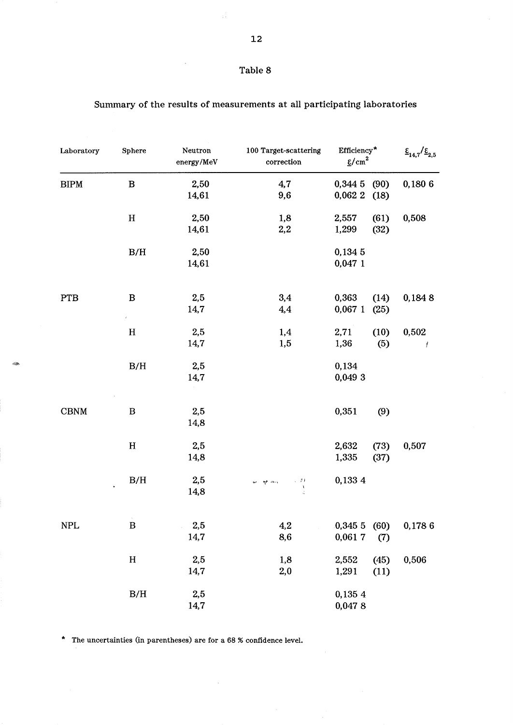| Table 8 |  |
|---------|--|
|---------|--|

l,

| Laboratory<br><b>BIPM</b> | Sphere<br>$\, {\bf B}$ | Neutron<br>energy/MeV<br>2,50 | 100 Target-scattering<br>correction<br>4,7 | Efficiency*<br>$\frac{\epsilon}{2}$ cm <sup>2</sup> |      | $\frac{\varepsilon}{14,7}/\frac{\varepsilon}{2,5}$ |
|---------------------------|------------------------|-------------------------------|--------------------------------------------|-----------------------------------------------------|------|----------------------------------------------------|
|                           |                        |                               |                                            | 0,344 5                                             | (90) | 0,1806                                             |
|                           |                        | 14,61                         | 9,6                                        | 0,062 2                                             | (18) |                                                    |
|                           | $\, {\bf H}$           | 2,50                          | 1,8                                        | 2,557                                               | (61) | 0,508                                              |
|                           |                        | 14,61                         | 2,2                                        | 1,299                                               | (32) |                                                    |
|                           | $\rm\,B/H$             | 2,50                          |                                            | 0,1345                                              |      |                                                    |
|                           |                        | 14,61                         |                                            | 0,047 1                                             |      |                                                    |
| PTB                       | $\, {\bf B}$           | 2,5                           | 3,4                                        | 0,363                                               | (14) | 0,1848                                             |
|                           | $\hat{r}$ .            | 14,7                          | 4,4                                        | $0,067$ 1                                           | (25) |                                                    |
|                           | $\mathbf H$            | 2,5                           | 1,4                                        | 2,71                                                | (10) | 0,502                                              |
|                           |                        | 14,7                          | 1,5                                        | 1,36                                                | (5)  | Ť                                                  |
|                           | $\rm\,B/H$             | 2,5                           |                                            | 0,134                                               |      |                                                    |
|                           |                        | 14,7                          |                                            | 0,049 3                                             |      |                                                    |
| $\operatorname{CBNM}$     | $\, {\bf B}$           | 2,5                           |                                            | 0,351                                               | (9)  |                                                    |
|                           |                        | 14,8                          |                                            |                                                     |      |                                                    |
|                           | $\mathbf H$            | 2,5                           |                                            | 2,632                                               | (73) | 0,507                                              |
|                           |                        | 14,8                          |                                            | 1,335                                               | (37) |                                                    |
|                           | B/H                    | 2,5                           | 计算机<br>कर । मुरु तर-४                      | 0,133 4                                             |      |                                                    |
|                           |                        | 14,8                          | $\frac{1}{4}$                              |                                                     |      |                                                    |
| $\ensuremath{\text{NPL}}$ | $\, {\bf B}$           | 2,5                           | 4,2                                        | 0,3455(60)                                          |      | 0,1786                                             |
|                           |                        | 14,7                          | 8,6                                        | 0,0617                                              | (7)  |                                                    |
|                           | $\mathbf H$            | 2,5                           | 1,8                                        | 2,552                                               | (45) | 0,506                                              |
|                           |                        | 14,7                          | 2,0                                        | 1,291                                               | (11) |                                                    |
|                           | $\rm\,B/H$             | 2,5                           |                                            | 0,135 4                                             |      |                                                    |
|                           |                        | 14,7                          |                                            | 0,0478                                              |      |                                                    |

 $\bar{z}$ 

# Summary of the results of measurements at all participating laboratories

\* The uncertainties (in parentheses) are for a 68 % confidence level.